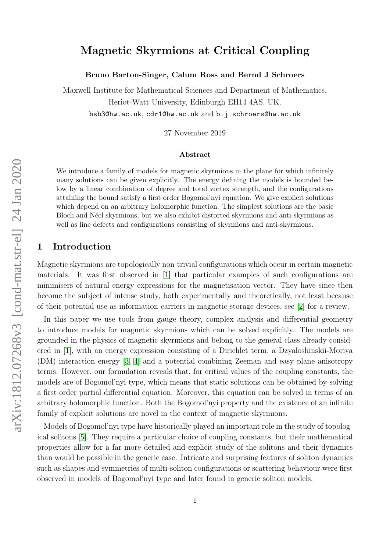# Magnetic Skyrmions at Critical Coupling

Bruno Barton-Singer, Calum Ross and Bernd J Schroers

Maxwell Institute for Mathematical Sciences and Department of Mathematics, Heriot-Watt University, Edinburgh EH14 4AS, UK. bsb3@hw.ac.uk, cdr1@hw.ac.uk and b.j.schroers@hw.ac.uk

27 November 2019

#### Abstract

We introduce a family of models for magnetic skyrmions in the plane for which infinitely many solutions can be given explicitly. The energy defining the models is bounded below by a linear combination of degree and total vortex strength, and the configurations attaining the bound satisfy a first order Bogomol'nyi equation. We give explicit solutions which depend on an arbitrary holomorphic function. The simplest solutions are the basic Bloch and N´eel skyrmions, but we also exhibit distorted skyrmions and anti-skyrmions as well as line defects and configurations consisting of skyrmions and anti-skyrmions.

### 1 Introduction

Magnetic skyrmions are topologically non-trivial configurations which occur in certain magnetic materials. It was first observed in [\[1\]](#page-20-0) that particular examples of such configurations are minimisers of natural energy expressions for the magnetisation vector. They have since then become the subject of intense study, both experimentally and theoretically, not least because of their potential use as information carriers in magnetic storage devices, see [\[2\]](#page-21-0) for a review.

In this paper we use tools from gauge theory, complex analysis and differential geometry to introduce models for magnetic skyrmions which can be solved explicitly. The models are grounded in the physics of magnetic skyrmions and belong to the general class already considered in [\[1\]](#page-20-0), with an energy expression consisting of a Dirichlet term, a Dzyaloshinskii-Moriya (DM) interaction energy [\[3,](#page-21-1) [4\]](#page-21-2) and a potential combining Zeeman and easy plane anisotropy terms. However, our formulation reveals that, for critical values of the coupling constants, the models are of Bogomol'nyi type, which means that static solutions can be obtained by solving a first order partial differential equation. Moreover, this equation can be solved in terms of an arbitrary holomorphic function. Both the Bogomol'nyi property and the existence of an infinite family of explicit solutions are novel in the context of magnetic skyrmions.

Models of Bogomol'nyi type have historically played an important role in the study of topological solitons [\[5\]](#page-21-3). They require a particular choice of coupling constants, but their mathematical properties allow for a far more detailed and explicit study of the solitons and their dynamics than would be possible in the generic case. Intricate and surprising features of soliton dynamics such as shapes and symmetries of multi-soliton configurations or scattering behaviour were first observed in models of Bogomol'nyi type and later found in generic soliton models.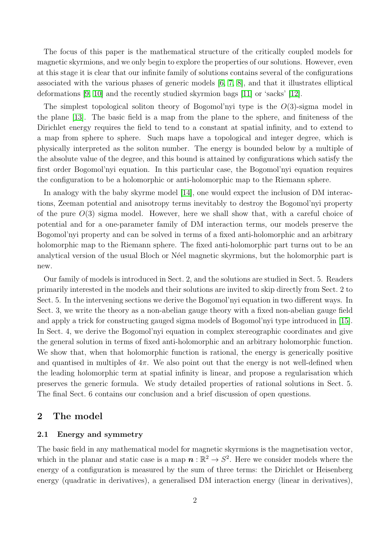The focus of this paper is the mathematical structure of the critically coupled models for magnetic skyrmions, and we only begin to explore the properties of our solutions. However, even at this stage it is clear that our infinite family of solutions contains several of the configurations associated with the various phases of generic models [\[6,](#page-21-4) [7,](#page-21-5) [8\]](#page-21-6), and that it illustrates elliptical deformations [\[9,](#page-21-7) [10\]](#page-21-8) and the recently studied skyrmion bags [\[11\]](#page-21-9) or 'sacks' [\[12\]](#page-21-10).

The simplest topological soliton theory of Bogomol'nyi type is the  $O(3)$ -sigma model in the plane [\[13\]](#page-21-11). The basic field is a map from the plane to the sphere, and finiteness of the Dirichlet energy requires the field to tend to a constant at spatial infinity, and to extend to a map from sphere to sphere. Such maps have a topological and integer degree, which is physically interpreted as the soliton number. The energy is bounded below by a multiple of the absolute value of the degree, and this bound is attained by configurations which satisfy the first order Bogomol'nyi equation. In this particular case, the Bogomol'nyi equation requires the configuration to be a holomorphic or anti-holomorphic map to the Riemann sphere.

In analogy with the baby skyrme model [\[14\]](#page-21-12), one would expect the inclusion of DM interactions, Zeeman potential and anisotropy terms inevitably to destroy the Bogomol'nyi property of the pure  $O(3)$  sigma model. However, here we shall show that, with a careful choice of potential and for a one-parameter family of DM interaction terms, our models preserve the Bogomol'nyi property and can be solved in terms of a fixed anti-holomorphic and an arbitrary holomorphic map to the Riemann sphere. The fixed anti-holomorphic part turns out to be an analytical version of the usual Bloch or N'eel magnetic skyrmions, but the holomorphic part is new.

Our family of models is introduced in Sect. 2, and the solutions are studied in Sect. 5. Readers primarily interested in the models and their solutions are invited to skip directly from Sect. 2 to Sect. 5. In the intervening sections we derive the Bogomol'nyi equation in two different ways. In Sect. 3, we write the theory as a non-abelian gauge theory with a fixed non-abelian gauge field and apply a trick for constructing gauged sigma models of Bogomol'nyi type introduced in [\[15\]](#page-21-13). In Sect. 4, we derive the Bogomol'nyi equation in complex stereographic coordinates and give the general solution in terms of fixed anti-holomorphic and an arbitrary holomorphic function. We show that, when that holomorphic function is rational, the energy is generically positive and quantised in multiples of  $4\pi$ . We also point out that the energy is not well-defined when the leading holomorphic term at spatial infinity is linear, and propose a regularisation which preserves the generic formula. We study detailed properties of rational solutions in Sect. 5. The final Sect. 6 contains our conclusion and a brief discussion of open questions.

### 2 The model

#### 2.1 Energy and symmetry

The basic field in any mathematical model for magnetic skyrmions is the magnetisation vector, which in the planar and static case is a map  $\boldsymbol{n}:\mathbb{R}^2\to S^2$ . Here we consider models where the energy of a configuration is measured by the sum of three terms: the Dirichlet or Heisenberg energy (quadratic in derivatives), a generalised DM interaction energy (linear in derivatives),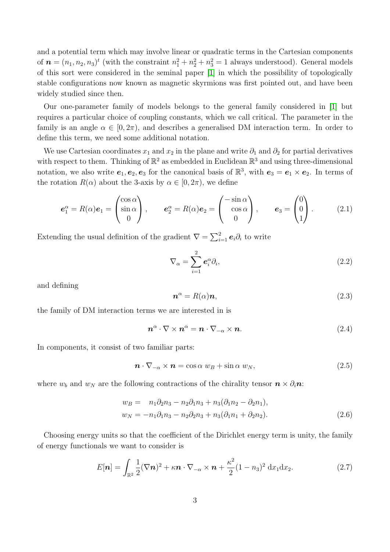and a potential term which may involve linear or quadratic terms in the Cartesian components of  $\boldsymbol{n} = (n_1, n_2, n_3)^t$  (with the constraint  $n_1^2 + n_2^2 + n_3^2 = 1$  always understood). General models of this sort were considered in the seminal paper [\[1\]](#page-20-0) in which the possibility of topologically stable configurations now known as magnetic skyrmions was first pointed out, and have been widely studied since then.

Our one-parameter family of models belongs to the general family considered in [\[1\]](#page-20-0) but requires a particular choice of coupling constants, which we call critical. The parameter in the family is an angle  $\alpha \in [0, 2\pi)$ , and describes a generalised DM interaction term. In order to define this term, we need some additional notation.

We use Cartesian coordinates  $x_1$  and  $x_2$  in the plane and write  $\partial_1$  and  $\partial_2$  for partial derivatives with respect to them. Thinking of  $\mathbb{R}^2$  as embedded in Euclidean  $\mathbb{R}^3$  and using three-dimensional notation, we also write  $e_1, e_2, e_3$  for the canonical basis of  $\mathbb{R}^3$ , with  $e_3 = e_1 \times e_2$ . In terms of the rotation  $R(\alpha)$  about the 3-axis by  $\alpha \in [0, 2\pi)$ , we define

<span id="page-2-2"></span>
$$
\boldsymbol{e}_1^{\alpha} = R(\alpha)\boldsymbol{e}_1 = \begin{pmatrix} \cos \alpha \\ \sin \alpha \\ 0 \end{pmatrix}, \qquad \boldsymbol{e}_2^{\alpha} = R(\alpha)\boldsymbol{e}_2 = \begin{pmatrix} -\sin \alpha \\ \cos \alpha \\ 0 \end{pmatrix}, \qquad \boldsymbol{e}_3 = \begin{pmatrix} 0 \\ 0 \\ 1 \end{pmatrix}.
$$
 (2.1)

Extending the usual definition of the gradient  $\nabla = \sum_{i=1}^{2} e_i \partial_i$  to write

$$
\nabla_{\alpha} = \sum_{i=1}^{2} e_i^{\alpha} \partial_i, \qquad (2.2)
$$

and defining

<span id="page-2-3"></span>
$$
n^{\alpha} = R(\alpha)n, \tag{2.3}
$$

the family of DM interaction terms we are interested in is

<span id="page-2-1"></span>
$$
\boldsymbol{n}^{\alpha} \cdot \nabla \times \boldsymbol{n}^{\alpha} = \boldsymbol{n} \cdot \nabla_{-\alpha} \times \boldsymbol{n}.\tag{2.4}
$$

In components, it consist of two familiar parts:

$$
\boldsymbol{n} \cdot \nabla_{-\alpha} \times \boldsymbol{n} = \cos \alpha \ w_B + \sin \alpha \ w_N, \tag{2.5}
$$

where  $w_b$  and  $w_N$  are the following contractions of the chirality tensor  $\mathbf{n} \times \partial_i \mathbf{n}$ :

$$
w_B = n_1 \partial_2 n_3 - n_2 \partial_1 n_3 + n_3 (\partial_1 n_2 - \partial_2 n_1),
$$
  
\n
$$
w_N = -n_1 \partial_1 n_3 - n_2 \partial_2 n_3 + n_3 (\partial_1 n_1 + \partial_2 n_2).
$$
\n(2.6)

Choosing energy units so that the coefficient of the Dirichlet energy term is unity, the family of energy functionals we want to consider is

<span id="page-2-0"></span>
$$
E[\boldsymbol{n}] = \int_{\mathbb{R}^2} \frac{1}{2} (\nabla \boldsymbol{n})^2 + \kappa \boldsymbol{n} \cdot \nabla_{-\alpha} \times \boldsymbol{n} + \frac{\kappa^2}{2} (1 - n_3)^2 \, \mathrm{d}x_1 \mathrm{d}x_2. \tag{2.7}
$$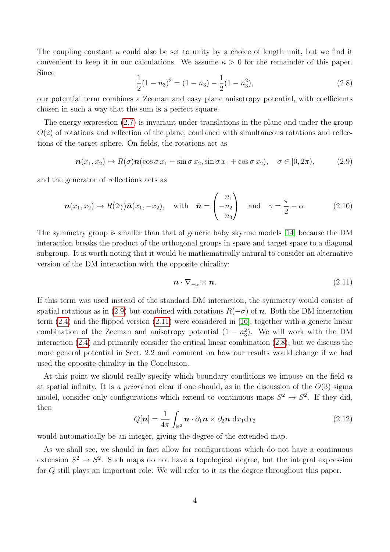The coupling constant  $\kappa$  could also be set to unity by a choice of length unit, but we find it convenient to keep it in our calculations. We assume  $\kappa > 0$  for the remainder of this paper. Since 1

<span id="page-3-2"></span>
$$
\frac{1}{2}(1-n_3)^2 = (1-n_3) - \frac{1}{2}(1-n_3^2),\tag{2.8}
$$

our potential term combines a Zeeman and easy plane anisotropy potential, with coefficients chosen in such a way that the sum is a perfect square.

The energy expression [\(2.7\)](#page-2-0) is invariant under translations in the plane and under the group  $O(2)$  of rotations and reflection of the plane, combined with simultaneous rotations and reflections of the target sphere. On fields, the rotations act as

<span id="page-3-0"></span>
$$
\mathbf{n}(x_1, x_2) \mapsto R(\sigma)\mathbf{n}(\cos \sigma x_1 - \sin \sigma x_2, \sin \sigma x_1 + \cos \sigma x_2), \quad \sigma \in [0, 2\pi), \tag{2.9}
$$

and the generator of reflections acts as

<span id="page-3-4"></span>
$$
\boldsymbol{n}(x_1, x_2) \mapsto R(2\gamma)\bar{\boldsymbol{n}}(x_1, -x_2), \quad \text{with} \quad \bar{\boldsymbol{n}} = \begin{pmatrix} n_1 \\ -n_2 \\ n_3 \end{pmatrix} \quad \text{and} \quad \gamma = \frac{\pi}{2} - \alpha. \tag{2.10}
$$

The symmetry group is smaller than that of generic baby skyrme models [\[14\]](#page-21-12) because the DM interaction breaks the product of the orthogonal groups in space and target space to a diagonal subgroup. It is worth noting that it would be mathematically natural to consider an alternative version of the DM interaction with the opposite chirality:

<span id="page-3-1"></span>
$$
\bar{n} \cdot \nabla_{-\alpha} \times \bar{n}.\tag{2.11}
$$

If this term was used instead of the standard DM interaction, the symmetry would consist of spatial rotations as in [\(2.9\)](#page-3-0) but combined with rotations  $R(-\sigma)$  of n. Both the DM interaction term [\(2.4\)](#page-2-1) and the flipped version [\(2.11\)](#page-3-1) were considered in [\[16\]](#page-22-0), together with a generic linear combination of the Zeeman and anisotropy potential  $(1 - n_3^2)$ . We will work with the DM interaction [\(2.4\)](#page-2-1) and primarily consider the critical linear combination [\(2.8\)](#page-3-2), but we discuss the more general potential in Sect. 2.2 and comment on how our results would change if we had used the opposite chirality in the Conclusion.

At this point we should really specify which boundary conditions we impose on the field  $n$ at spatial infinity. It is a priori not clear if one should, as in the discussion of the  $O(3)$  sigma model, consider only configurations which extend to continuous maps  $S^2 \to S^2$ . If they did, then

<span id="page-3-3"></span>
$$
Q[\boldsymbol{n}] = \frac{1}{4\pi} \int_{\mathbb{R}^2} \boldsymbol{n} \cdot \partial_1 \boldsymbol{n} \times \partial_2 \boldsymbol{n} \, dx_1 dx_2 \qquad (2.12)
$$

would automatically be an integer, giving the degree of the extended map.

As we shall see, we should in fact allow for configurations which do not have a continuous extension  $S^2 \to S^2$ . Such maps do not have a topological degree, but the integral expression for Q still plays an important role. We will refer to it as the degree throughout this paper.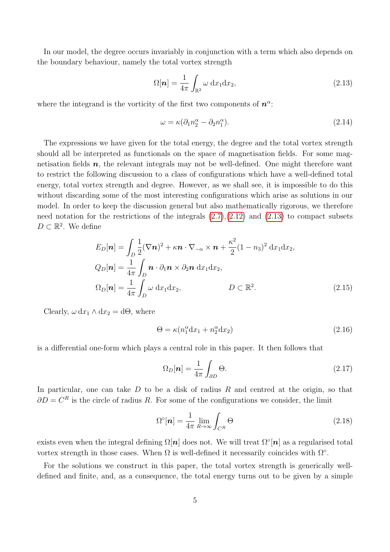In our model, the degree occurs invariably in conjunction with a term which also depends on the boundary behaviour, namely the total vortex strength

<span id="page-4-0"></span>
$$
\Omega[\boldsymbol{n}] = \frac{1}{4\pi} \int_{\mathbb{R}^2} \omega \, \mathrm{d}x_1 \mathrm{d}x_2,\tag{2.13}
$$

where the integrand is the vorticity of the first two components of  $n^{\alpha}$ :

<span id="page-4-3"></span>
$$
\omega = \kappa (\partial_1 n_2^{\alpha} - \partial_2 n_1^{\alpha}). \tag{2.14}
$$

The expressions we have given for the total energy, the degree and the total vortex strength should all be interpreted as functionals on the space of magnetisation fields. For some magnetisation fields  $n$ , the relevant integrals may not be well-defined. One might therefore want to restrict the following discussion to a class of configurations which have a well-defined total energy, total vortex strength and degree. However, as we shall see, it is impossible to do this without discarding some of the most interesting configurations which arise as solutions in our model. In order to keep the discussion general but also mathematically rigorous, we therefore need notation for the restrictions of the integrals  $(2.7),(2.12)$  $(2.7),(2.12)$  $(2.7),(2.12)$  and  $(2.13)$  to compact subsets  $D \subset \mathbb{R}^2$ . We define

$$
E_D[\boldsymbol{n}] = \int_D \frac{1}{2} (\nabla \boldsymbol{n})^2 + \kappa \boldsymbol{n} \cdot \nabla_{-\alpha} \times \boldsymbol{n} + \frac{\kappa^2}{2} (1 - n_3)^2 \, dx_1 dx_2,
$$
  
\n
$$
Q_D[\boldsymbol{n}] = \frac{1}{4\pi} \int_D \boldsymbol{n} \cdot \partial_1 \boldsymbol{n} \times \partial_2 \boldsymbol{n} \, dx_1 dx_2,
$$
  
\n
$$
\Omega_D[\boldsymbol{n}] = \frac{1}{4\pi} \int_D \omega \, dx_1 dx_2,
$$
 
$$
D \subset \mathbb{R}^2.
$$
 (2.15)

Clearly,  $\omega \, dx_1 \wedge dx_2 = d\Theta$ , where

<span id="page-4-2"></span>
$$
\Theta = \kappa (n_1^{\alpha} \mathrm{d}x_1 + n_2^{\alpha} \mathrm{d}x_2) \tag{2.16}
$$

is a differential one-form which plays a central role in this paper. It then follows that

$$
\Omega_D[\boldsymbol{n}] = \frac{1}{4\pi} \int_{\partial D} \Theta. \tag{2.17}
$$

In particular, one can take  $D$  to be a disk of radius  $R$  and centred at the origin, so that  $\partial D = C^R$  is the circle of radius R. For some of the configurations we consider, the limit

<span id="page-4-1"></span>
$$
\Omega^{\circ}[\boldsymbol{n}] = \frac{1}{4\pi} \lim_{R \to \infty} \int_{C^R} \Theta \tag{2.18}
$$

exists even when the integral defining  $\Omega[n]$  does not. We will treat  $\Omega^{\circ}[n]$  as a regularised total vortex strength in those cases. When  $\Omega$  is well-defined it necessarily coincides with  $\Omega$ <sup>°</sup>.

For the solutions we construct in this paper, the total vortex strength is generically welldefined and finite, and, as a consequence, the total energy turns out to be given by a simple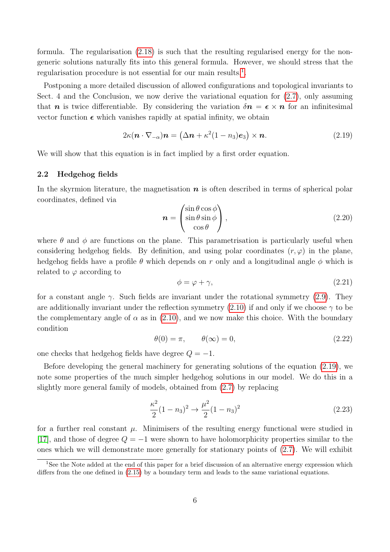formula. The regularisation [\(2.18\)](#page-4-1) is such that the resulting regularised energy for the nongeneric solutions naturally fits into this general formula. However, we should stress that the regularisation procedure is not essential for our main results.<sup>[1](#page-5-0)</sup>.

Postponing a more detailed discussion of allowed configurations and topological invariants to Sect. 4 and the Conclusion, we now derive the variational equation for [\(2.7\)](#page-2-0), only assuming that **n** is twice differentiable. By considering the variation  $\delta n = \epsilon \times n$  for an infinitesimal vector function  $\epsilon$  which vanishes rapidly at spatial infinity, we obtain

<span id="page-5-1"></span>
$$
2\kappa(\mathbf{n}\cdot\nabla_{-\alpha})\mathbf{n} = (\Delta\mathbf{n} + \kappa^2(1-n_3)\mathbf{e}_3) \times \mathbf{n}.\tag{2.19}
$$

We will show that this equation is in fact implied by a first order equation.

#### 2.2 Hedgehog fields

In the skyrmion literature, the magnetisation  $\boldsymbol{n}$  is often described in terms of spherical polar coordinates, defined via

<span id="page-5-4"></span>
$$
\mathbf{n} = \begin{pmatrix} \sin \theta \cos \phi \\ \sin \theta \sin \phi \\ \cos \theta \end{pmatrix},
$$
 (2.20)

where  $\theta$  and  $\phi$  are functions on the plane. This parametrisation is particularly useful when considering hedgehog fields. By definition, and using polar coordinates  $(r, \varphi)$  in the plane, hedgehog fields have a profile  $\theta$  which depends on r only and a longitudinal angle  $\phi$  which is related to  $\varphi$  according to

$$
\phi = \varphi + \gamma,\tag{2.21}
$$

for a constant angle  $\gamma$ . Such fields are invariant under the rotational symmetry [\(2.9\)](#page-3-0). They are additionally invariant under the reflection symmetry [\(2.10\)](#page-3-4) if and only if we choose  $\gamma$  to be the complementary angle of  $\alpha$  as in [\(2.10\)](#page-3-4), and we now make this choice. With the boundary condition

<span id="page-5-3"></span>
$$
\theta(0) = \pi, \qquad \theta(\infty) = 0,\tag{2.22}
$$

one checks that hedgehog fields have degree  $Q = -1$ .

Before developing the general machinery for generating solutions of the equation [\(2.19\)](#page-5-1), we note some properties of the much simpler hedgehog solutions in our model. We do this in a slightly more general family of models, obtained from [\(2.7\)](#page-2-0) by replacing

<span id="page-5-2"></span>
$$
\frac{\kappa^2}{2}(1-n_3)^2 \to \frac{\mu^2}{2}(1-n_3)^2\tag{2.23}
$$

for a further real constant  $\mu$ . Minimisers of the resulting energy functional were studied in [\[17\]](#page-22-1), and those of degree  $Q = -1$  were shown to have holomorphicity properties similar to the ones which we will demonstrate more generally for stationary points of [\(2.7\)](#page-2-0). We will exhibit

<span id="page-5-0"></span><sup>&</sup>lt;sup>1</sup>See the Note added at the end of this paper for a brief discussion of an alternative energy expression which differs from the one defined in [\(2.15\)](#page-4-2) by a boundary term and leads to the same variational equations.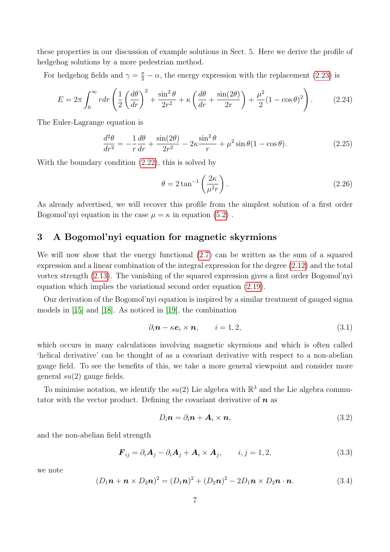these properties in our discussion of example solutions in Sect. 5. Here we derive the profile of hedgehog solutions by a more pedestrian method.

For hedgehog fields and  $\gamma = \frac{\pi}{2} - \alpha$ , the energy expression with the replacement [\(2.23\)](#page-5-2) is

$$
E = 2\pi \int_0^\infty r dr \left( \frac{1}{2} \left( \frac{d\theta}{dr} \right)^2 + \frac{\sin^2 \theta}{2r^2} + \kappa \left( \frac{d\theta}{dr} + \frac{\sin(2\theta)}{2r} \right) + \frac{\mu^2}{2} (1 - \cos \theta)^2 \right). \tag{2.24}
$$

The Euler-Lagrange equation is

$$
\frac{d^2\theta}{dr^2} = -\frac{1}{r}\frac{d\theta}{dr} + \frac{\sin(2\theta)}{2r^2} - 2\kappa\frac{\sin^2\theta}{r} + \mu^2\sin\theta(1-\cos\theta). \tag{2.25}
$$

With the boundary condition [\(2.22\)](#page-5-3), this is solved by

<span id="page-6-1"></span>
$$
\theta = 2 \tan^{-1} \left( \frac{2\kappa}{\mu^2 r} \right). \tag{2.26}
$$

As already advertised, we will recover this profile from the simplest solution of a first order Bogomol'nyi equation in the case  $\mu = \kappa$  in equation [\(5.2\)](#page-16-0).

## 3 A Bogomol'nyi equation for magnetic skyrmions

We will now show that the energy functional [\(2.7\)](#page-2-0) can be written as the sum of a squared expression and a linear combination of the integral expression for the degree [\(2.12\)](#page-3-3) and the total vortex strength [\(2.13\)](#page-4-0). The vanishing of the squared expression gives a first order Bogomol'nyi equation which implies the variational second order equation [\(2.19\)](#page-5-1).

Our derivation of the Bogomol'nyi equation is inspired by a similar treatment of gauged sigma models in [\[15\]](#page-21-13) and [\[18\]](#page-22-2). As noticed in [\[19\]](#page-22-3), the combination

$$
\partial_i \mathbf{n} - \kappa \mathbf{e}_i \times \mathbf{n}, \qquad i = 1, 2,
$$
\n(3.1)

which occurs in many calculations involving magnetic skyrmions and which is often called 'helical derivative' can be thought of as a covariant derivative with respect to a non-abelian gauge field. To see the benefits of this, we take a more general viewpoint and consider more general  $su(2)$  gauge fields.

To minimise notation, we identify the  $su(2)$  Lie algebra with  $\mathbb{R}^3$  and the Lie algebra commutator with the vector product. Defining the covariant derivative of  $n$  as

$$
D_i \mathbf{n} = \partial_i \mathbf{n} + \mathbf{A}_i \times \mathbf{n},\tag{3.2}
$$

and the non-abelian field strength

$$
\boldsymbol{F}_{ij} = \partial_i \boldsymbol{A}_j - \partial_i \boldsymbol{A}_j + \boldsymbol{A}_i \times \boldsymbol{A}_j, \qquad i, j = 1, 2,
$$
\n(3.3)

we note

<span id="page-6-0"></span>
$$
(D_1\mathbf{n} + \mathbf{n} \times D_2\mathbf{n})^2 = (D_1\mathbf{n})^2 + (D_2\mathbf{n})^2 - 2D_1\mathbf{n} \times D_2\mathbf{n} \cdot \mathbf{n}.
$$
 (3.4)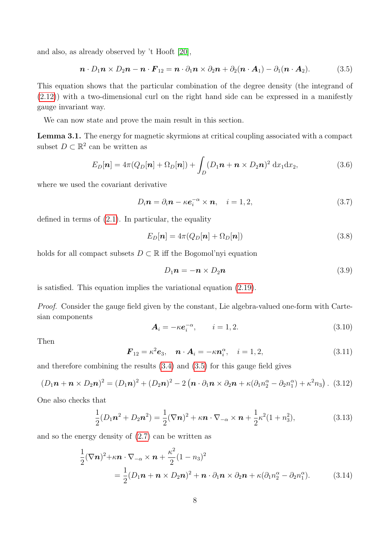and also, as already observed by 't Hooft [\[20\]](#page-22-4),

<span id="page-7-0"></span>
$$
\boldsymbol{n} \cdot D_1 \boldsymbol{n} \times D_2 \boldsymbol{n} - \boldsymbol{n} \cdot \boldsymbol{F}_{12} = \boldsymbol{n} \cdot \partial_1 \boldsymbol{n} \times \partial_2 \boldsymbol{n} + \partial_2 (\boldsymbol{n} \cdot \boldsymbol{A}_1) - \partial_1 (\boldsymbol{n} \cdot \boldsymbol{A}_2). \tag{3.5}
$$

This equation shows that the particular combination of the degree density (the integrand of [\(2.12\)](#page-3-3)) with a two-dimensional curl on the right hand side can be expressed in a manifestly gauge invariant way.

We can now state and prove the main result in this section.

Lemma 3.1. The energy for magnetic skyrmions at critical coupling associated with a compact subset  $D \subset \mathbb{R}^2$  can be written as

<span id="page-7-1"></span>
$$
E_D[\boldsymbol{n}] = 4\pi (Q_D[\boldsymbol{n}] + \Omega_D[\boldsymbol{n}]) + \int_D (D_1\boldsymbol{n} + \boldsymbol{n} \times D_2\boldsymbol{n})^2 dx_1 dx_2, \qquad (3.6)
$$

where we used the covariant derivative

$$
D_i \mathbf{n} = \partial_i \mathbf{n} - \kappa \mathbf{e}_i^{-\alpha} \times \mathbf{n}, \quad i = 1, 2,
$$
\n(3.7)

defined in terms of  $(2.1)$ . In particular, the equality

<span id="page-7-2"></span>
$$
E_D[\boldsymbol{n}] = 4\pi (Q_D[\boldsymbol{n}] + \Omega_D[\boldsymbol{n}]) \tag{3.8}
$$

holds for all compact subsets  $D \subset \mathbb{R}$  iff the Bogomol'nyi equation

<span id="page-7-3"></span>
$$
D_1 n = -n \times D_2 n \tag{3.9}
$$

is satisfied. This equation implies the variational equation [\(2.19\)](#page-5-1).

Proof. Consider the gauge field given by the constant, Lie algebra-valued one-form with Cartesian components

$$
\mathbf{A}_i = -\kappa \mathbf{e}_i^{-\alpha}, \qquad i = 1, 2. \tag{3.10}
$$

Then

$$
\boldsymbol{F}_{12} = \kappa^2 \boldsymbol{e}_3, \quad \boldsymbol{n} \cdot \boldsymbol{A}_i = -\kappa \boldsymbol{n}_i^{\alpha}, \quad i = 1, 2,
$$
\n(3.11)

and therefore combining the results [\(3.4\)](#page-6-0) and [\(3.5\)](#page-7-0) for this gauge field gives

$$
(D_1\mathbf{n}+\mathbf{n}\times D_2\mathbf{n})^2=(D_1\mathbf{n})^2+(D_2\mathbf{n})^2-2(\mathbf{n}\cdot\partial_1\mathbf{n}\times\partial_2\mathbf{n}+\kappa(\partial_1n_2^{\alpha}-\partial_2n_1^{\alpha})+\kappa^2n_3).
$$
 (3.12)

One also checks that

$$
\frac{1}{2}(D_1\mathbf{n}^2 + D_2\mathbf{n}^2) = \frac{1}{2}(\nabla\mathbf{n})^2 + \kappa\mathbf{n} \cdot \nabla_{-\alpha} \times \mathbf{n} + \frac{1}{2}\kappa^2(1 + n_3^2),
$$
\n(3.13)

and so the energy density of [\(2.7\)](#page-2-0) can be written as

$$
\frac{1}{2}(\nabla \mathbf{n})^2 + \kappa \mathbf{n} \cdot \nabla_{-\alpha} \times \mathbf{n} + \frac{\kappa^2}{2} (1 - n_3)^2
$$
\n
$$
= \frac{1}{2} (D_1 \mathbf{n} + \mathbf{n} \times D_2 \mathbf{n})^2 + \mathbf{n} \cdot \partial_1 \mathbf{n} \times \partial_2 \mathbf{n} + \kappa (\partial_1 n_2^{\alpha} - \partial_2 n_1^{\alpha}). \tag{3.14}
$$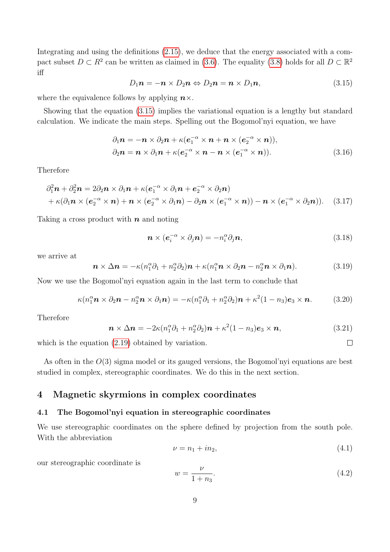Integrating and using the definitions  $(2.15)$ , we deduce that the energy associated with a compact subset  $D \subset R^2$  can be written as claimed in [\(3.6\)](#page-7-1). The equality [\(3.8\)](#page-7-2) holds for all  $D \subset \mathbb{R}^2$ iff

<span id="page-8-0"></span>
$$
D_1\mathbf{n} = -\mathbf{n} \times D_2\mathbf{n} \Leftrightarrow D_2\mathbf{n} = \mathbf{n} \times D_1\mathbf{n}, \qquad (3.15)
$$

where the equivalence follows by applying  $n \times$ .

Showing that the equation [\(3.15\)](#page-8-0) implies the variational equation is a lengthy but standard calculation. We indicate the main steps. Spelling out the Bogomol'nyi equation, we have

$$
\partial_1 \mathbf{n} = -\mathbf{n} \times \partial_2 \mathbf{n} + \kappa (\mathbf{e}_1^{-\alpha} \times \mathbf{n} + \mathbf{n} \times (\mathbf{e}_2^{-\alpha} \times \mathbf{n})),
$$
  
\n
$$
\partial_2 \mathbf{n} = \mathbf{n} \times \partial_1 \mathbf{n} + \kappa (\mathbf{e}_2^{-\alpha} \times \mathbf{n} - \mathbf{n} \times (\mathbf{e}_1^{-\alpha} \times \mathbf{n})).
$$
\n(3.16)

Therefore

$$
\partial_1^2 \mathbf{n} + \partial_2^2 \mathbf{n} = 2\partial_2 \mathbf{n} \times \partial_1 \mathbf{n} + \kappa (\mathbf{e}_1^{-\alpha} \times \partial_1 \mathbf{n} + \mathbf{e}_2^{-\alpha} \times \partial_2 \mathbf{n}) + \kappa (\partial_1 \mathbf{n} \times (\mathbf{e}_2^{-\alpha} \times \mathbf{n}) + \mathbf{n} \times (\mathbf{e}_2^{-\alpha} \times \partial_1 \mathbf{n}) - \partial_2 \mathbf{n} \times (\mathbf{e}_1^{-\alpha} \times \mathbf{n})) - \mathbf{n} \times (\mathbf{e}_1^{-\alpha} \times \partial_2 \mathbf{n}).
$$
 (3.17)

Taking a cross product with  $n$  and noting

$$
\boldsymbol{n} \times (\boldsymbol{e}_i^{-\alpha} \times \partial_j \boldsymbol{n}) = -n_i^{\alpha} \partial_j \boldsymbol{n}, \qquad (3.18)
$$

we arrive at

$$
\boldsymbol{n} \times \Delta \boldsymbol{n} = -\kappa (n_1^{\alpha} \partial_1 + n_2^{\alpha} \partial_2) \boldsymbol{n} + \kappa (n_1^{\alpha} \boldsymbol{n} \times \partial_2 \boldsymbol{n} - n_2^{\alpha} \boldsymbol{n} \times \partial_1 \boldsymbol{n}). \qquad (3.19)
$$

Now we use the Bogomol'nyi equation again in the last term to conclude that

$$
\kappa(n_1^{\alpha} \mathbf{n} \times \partial_2 \mathbf{n} - n_2^{\alpha} \mathbf{n} \times \partial_1 \mathbf{n}) = -\kappa(n_1^{\alpha} \partial_1 + n_2^{\alpha} \partial_2) \mathbf{n} + \kappa^2 (1 - n_3) \mathbf{e}_3 \times \mathbf{n}.
$$
 (3.20)

Therefore

$$
\mathbf{n} \times \Delta \mathbf{n} = -2\kappa (n_1^{\alpha} \partial_1 + n_2^{\alpha} \partial_2) \mathbf{n} + \kappa^2 (1 - n_3) \mathbf{e}_3 \times \mathbf{n}, \tag{3.21}
$$

which is the equation  $(2.19)$  obtained by variation.

As often in the  $O(3)$  sigma model or its gauged versions, the Bogomol'nyi equations are best studied in complex, stereographic coordinates. We do this in the next section.

### 4 Magnetic skyrmions in complex coordinates

### 4.1 The Bogomol'nyi equation in stereographic coordinates

We use stereographic coordinates on the sphere defined by projection from the south pole. With the abbreviation

$$
\nu = n_1 + i n_2,\tag{4.1}
$$

 $\Box$ 

our stereographic coordinate is

$$
w = \frac{\nu}{1 + n_3}.\tag{4.2}
$$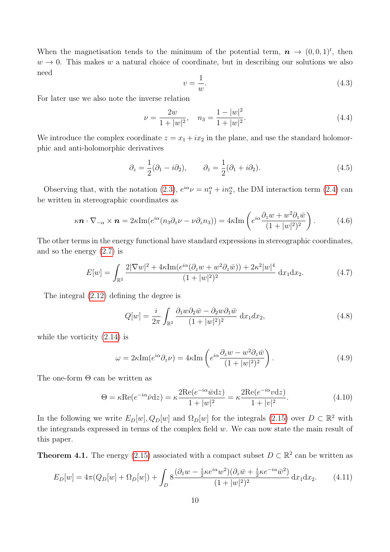When the magnetisation tends to the minimum of the potential term,  $\mathbf{n} \to (0,0,1)^t$ , then  $w \to 0$ . This makes w a natural choice of coordinate, but in describing our solutions we also need

<span id="page-9-0"></span>
$$
v = \frac{1}{w}.\tag{4.3}
$$

For later use we also note the inverse relation

<span id="page-9-5"></span>
$$
\nu = \frac{2w}{1+|w|^2}, \quad n_3 = \frac{1-|w|^2}{1+|w|^2}.
$$
\n(4.4)

We introduce the complex coordinate  $z = x_1 + ix_2$  in the plane, and use the standard holomorphic and anti-holomorphic derivatives

$$
\partial_z = \frac{1}{2}(\partial_1 - i\partial_2), \qquad \partial_{\bar{z}} = \frac{1}{2}(\partial_1 + i\partial_2). \tag{4.5}
$$

Observing that, with the notation [\(2.3\)](#page-2-3),  $e^{i\alpha} \nu = n_1^{\alpha} + i n_2^{\alpha}$ , the DM interaction term [\(2.4\)](#page-2-1) can be written in stereographic coordinates as

$$
\kappa \mathbf{n} \cdot \nabla_{-\alpha} \times \mathbf{n} = 2\kappa \text{Im}(e^{i\alpha}(n_3 \partial_z \nu - \nu \partial_z n_3)) = 4\kappa \text{Im}\left(e^{i\alpha}\frac{\partial_z w + w^2 \partial_z \bar{w}}{(1+|w|^2)^2}\right). \tag{4.6}
$$

The other terms in the energy functional have standard expressions in stereographic coordinates, and so the energy [\(2.7\)](#page-2-0) is

$$
E[w] = \int_{\mathbb{R}^2} \frac{2|\nabla w|^2 + 4\kappa \text{Im}(e^{i\alpha}(\partial_z w + w^2 \partial_z \bar{w})) + 2\kappa^2 |w|^4}{(1 + |w|^2)^2} dx_1 dx_2.
$$
 (4.7)

The integral [\(2.12\)](#page-3-3) defining the degree is

<span id="page-9-2"></span>
$$
Q[w] = \frac{i}{2\pi} \int_{\mathbb{R}^2} \frac{\partial_1 w \partial_2 \bar{w} - \partial_2 w \partial_1 \bar{w}}{(1+|w|^2)^2} dx_1 dx_2, \tag{4.8}
$$

while the vorticity [\(2.14\)](#page-4-3) is

<span id="page-9-1"></span>
$$
\omega = 2\kappa \text{Im}(e^{i\alpha}\partial_z \nu) = 4\kappa \text{Im}\left(e^{i\alpha}\frac{\partial_z w - w^2 \partial_z \bar{w}}{(1+|w|^2)^2}\right). \tag{4.9}
$$

The one-form  $\Theta$  can be written as

<span id="page-9-4"></span>
$$
\Theta = \kappa \text{Re}(e^{-i\alpha}\bar{\nu}\text{d}z) = \kappa \frac{2\text{Re}(e^{-i\alpha}\bar{\nu}\text{d}z)}{1+|w|^2} = \kappa \frac{2\text{Re}(e^{-i\alpha}\nu\text{d}z)}{1+|v|^2}.
$$
(4.10)

In the following we write  $E_D[w], Q_D[w]$  and  $\Omega_D[w]$  for the integrals [\(2.15\)](#page-4-2) over  $D \subset \mathbb{R}^2$  with the integrands expressed in terms of the complex field  $w$ . We can now state the main result of this paper.

**Theorem 4.1.** The energy [\(2.15\)](#page-4-2) associated with a compact subset  $D \subset \mathbb{R}^2$  can be written as

<span id="page-9-3"></span>
$$
E_D[w] = 4\pi (Q_D[w] + \Omega_D[w]) + \int_D 8 \frac{(\partial_{\bar{z}}w - \frac{i}{2}\kappa e^{i\alpha}w^2)(\partial_z\bar{w} + \frac{i}{2}\kappa e^{-i\alpha}\bar{w}^2)}{(1+|w|^2)^2} dx_1 dx_2.
$$
 (4.11)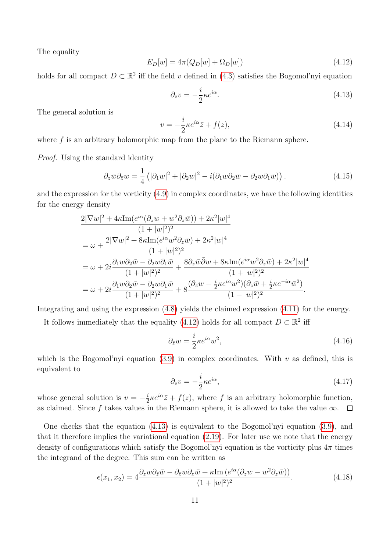The equality

<span id="page-10-0"></span>
$$
E_D[w] = 4\pi (Q_D[w] + \Omega_D[w])
$$
\n(4.12)

holds for all compact  $D \subset \mathbb{R}^2$  iff the field v defined in [\(4.3\)](#page-9-0) satisfies the Bogomol'nyi equation

<span id="page-10-1"></span>
$$
\partial_{\bar{z}}v = -\frac{i}{2}\kappa e^{i\alpha}.\tag{4.13}
$$

The general solution is

<span id="page-10-2"></span>
$$
v = -\frac{i}{2}\kappa e^{i\alpha}\bar{z} + f(z),\tag{4.14}
$$

where f is an arbitrary holomorphic map from the plane to the Riemann sphere.

Proof. Using the standard identity

$$
\partial_z \bar{w} \partial_{\bar{z}} w = \frac{1}{4} \left( |\partial_1 w|^2 + |\partial_2 w|^2 - i(\partial_1 w \partial_2 \bar{w} - \partial_2 w \partial_1 \bar{w}) \right). \tag{4.15}
$$

and the expression for the vorticity [\(4.9\)](#page-9-1) in complex coordinates, we have the following identities for the energy density

$$
\begin{split} &\frac{2|\nabla w|^2+4\kappa \text{Im}(e^{i\alpha}(\partial_z w+w^2\partial_z \bar{w}))+2\kappa^2|w|^4}{(1+|w|^2)^2}\\ &=\omega+\frac{2|\nabla w|^2+8\kappa \text{Im}(e^{i\alpha}w^2\partial_z \bar{w})+2\kappa^2|w|^4}{(1+|w|^2)^2}\\ &=\omega+2i\frac{\partial_1 w\partial_2 \bar{w}-\partial_2 w\partial_1 \bar{w}}{(1+|w|^2)^2}+\frac{8\partial_z \bar{w}\bar{\partial} w+8\kappa \text{Im}(e^{i\alpha}w^2\partial_z \bar{w})+2\kappa^2|w|^4}{(1+|w|^2)^2}\\ &=\omega+2i\frac{\partial_1 w\partial_2 \bar{w}-\partial_2 w\partial_1 \bar{w}}{(1+|w|^2)^2}+8\frac{(\partial_{\bar{z}} w-\frac{i}{2}\kappa e^{i\alpha}w^2)(\partial_z \bar{w}+\frac{i}{2}\kappa e^{-i\alpha} \bar{w}^2)}{(1+|w|^2)^2}. \end{split}
$$

Integrating and using the expression [\(4.8\)](#page-9-2) yields the claimed expression [\(4.11\)](#page-9-3) for the energy.

It follows immediately that the equality [\(4.12\)](#page-10-0) holds for all compact  $D \subset \mathbb{R}^2$  iff

$$
\partial_{\bar{z}}w = \frac{i}{2}\kappa e^{i\alpha}w^2,\tag{4.16}
$$

which is the Bogomol'nyi equation [\(3.9\)](#page-7-3) in complex coordinates. With v as defined, this is equivalent to

$$
\partial_{\bar{z}}v = -\frac{i}{2}\kappa e^{i\alpha},\tag{4.17}
$$

whose general solution is  $v = -\frac{i}{2}$  $\frac{i}{2}\kappa e^{i\alpha}\overline{z} + f(z)$ , where f is an arbitrary holomorphic function, as claimed. Since f takes values in the Riemann sphere, it is allowed to take the value  $\infty$ .  $\Box$ 

One checks that the equation [\(4.13\)](#page-10-1) is equivalent to the Bogomol'nyi equation [\(3.9\)](#page-7-3), and that it therefore implies the variational equation [\(2.19\)](#page-5-1). For later use we note that the energy density of configurations which satisfy the Bogomol'nyi equation is the vorticity plus  $4\pi$  times the integrand of the degree. This sum can be written as

<span id="page-10-3"></span>
$$
\epsilon(x_1, x_2) = 4 \frac{\partial_z w \partial_{\bar{z}} \bar{w} - \partial_{\bar{z}} w \partial_z \bar{w} + \kappa \text{Im} \left( e^{i\alpha} (\partial_z w - w^2 \partial_z \bar{w}) \right)}{(1 + |w|^2)^2}.
$$
\n(4.18)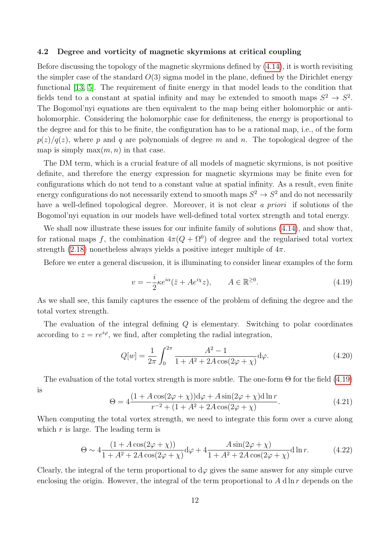#### 4.2 Degree and vorticity of magnetic skyrmions at critical coupling

Before discussing the topology of the magnetic skyrmions defined by [\(4.14\)](#page-10-2), it is worth revisiting the simpler case of the standard  $O(3)$  sigma model in the plane, defined by the Dirichlet energy functional [\[13,](#page-21-11) [5\]](#page-21-3). The requirement of finite energy in that model leads to the condition that fields tend to a constant at spatial infinity and may be extended to smooth maps  $S^2 \to S^2$ . The Bogomol'nyi equations are then equivalent to the map being either holomorphic or antiholomorphic. Considering the holomorphic case for definiteness, the energy is proportional to the degree and for this to be finite, the configuration has to be a rational map, i.e., of the form  $p(z)/q(z)$ , where p and q are polynomials of degree m and n. The topological degree of the map is simply  $\max(m, n)$  in that case.

The DM term, which is a crucial feature of all models of magnetic skyrmions, is not positive definite, and therefore the energy expression for magnetic skyrmions may be finite even for configurations which do not tend to a constant value at spatial infinity. As a result, even finite energy configurations do not necessarily extend to smooth maps  $S^2 \to S^2$  and do not necessarily have a well-defined topological degree. Moreover, it is not clear a priori if solutions of the Bogomol'nyi equation in our models have well-defined total vortex strength and total energy.

We shall now illustrate these issues for our infinite family of solutions  $(4.14)$ , and show that, for rational maps f, the combination  $4\pi(Q + \Omega^0)$  of degree and the regularised total vortex strength [\(2.18\)](#page-4-1) nonetheless always yields a positive integer multiple of  $4\pi$ .

Before we enter a general discussion, it is illuminating to consider linear examples of the form

<span id="page-11-0"></span>
$$
v = -\frac{i}{2}\kappa e^{i\alpha}(\bar{z} + Ae^{i\chi}z), \qquad A \in \mathbb{R}^{\geq 0}.
$$
 (4.19)

As we shall see, this family captures the essence of the problem of defining the degree and the total vortex strength.

The evaluation of the integral defining Q is elementary. Switching to polar coordinates according to  $z = re^{i\varphi}$ , we find, after completing the radial integration,

$$
Q[w] = \frac{1}{2\pi} \int_0^{2\pi} \frac{A^2 - 1}{1 + A^2 + 2A\cos(2\varphi + \chi)} d\varphi.
$$
 (4.20)

The evaluation of the total vortex strength is more subtle. The one-form  $\Theta$  for the field [\(4.19\)](#page-11-0) is

$$
\Theta = 4 \frac{(1 + A\cos(2\varphi + \chi))d\varphi + A\sin(2\varphi + \chi)d\ln r}{r^{-2} + (1 + A^2 + 2A\cos(2\varphi + \chi))}.
$$
\n(4.21)

When computing the total vortex strength, we need to integrate this form over a curve along which  $r$  is large. The leading term is

<span id="page-11-1"></span>
$$
\Theta \sim 4 \frac{(1 + A\cos(2\varphi + \chi))}{1 + A^2 + 2A\cos(2\varphi + \chi)} d\varphi + 4 \frac{A\sin(2\varphi + \chi)}{1 + A^2 + 2A\cos(2\varphi + \chi)} d\ln r.
$$
 (4.22)

Clearly, the integral of the term proportional to  $d\varphi$  gives the same answer for any simple curve enclosing the origin. However, the integral of the term proportional to  $A \, d \ln r$  depends on the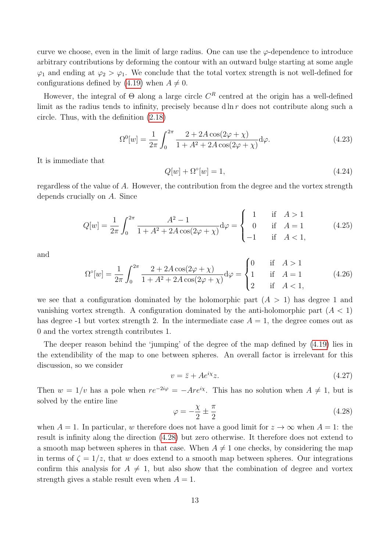curve we choose, even in the limit of large radius. One can use the  $\varphi$ -dependence to introduce arbitrary contributions by deforming the contour with an outward bulge starting at some angle  $\varphi_1$  and ending at  $\varphi_2 > \varphi_1$ . We conclude that the total vortex strength is not well-defined for configurations defined by [\(4.19\)](#page-11-0) when  $A \neq 0$ .

However, the integral of  $\Theta$  along a large circle  $C<sup>R</sup>$  centred at the origin has a well-defined limit as the radius tends to infinity, precisely because  $d \ln r$  does not contribute along such a circle. Thus, with the definition [\(2.18\)](#page-4-1)

$$
\Omega^{0}[w] = \frac{1}{2\pi} \int_{0}^{2\pi} \frac{2 + 2A\cos(2\varphi + \chi)}{1 + A^2 + 2A\cos(2\varphi + \chi)} d\varphi.
$$
\n(4.23)

It is immediate that

$$
Q[w] + \Omega^{\circ}[w] = 1,\tag{4.24}
$$

regardless of the value of A. However, the contribution from the degree and the vortex strength depends crucially on A. Since

<span id="page-12-1"></span>
$$
Q[w] = \frac{1}{2\pi} \int_0^{2\pi} \frac{A^2 - 1}{1 + A^2 + 2A\cos(2\varphi + \chi)} d\varphi = \begin{cases} 1 & \text{if } A > 1 \\ 0 & \text{if } A = 1 \\ -1 & \text{if } A < 1, \end{cases}
$$
(4.25)

and

$$
\Omega^{\circ}[w] = \frac{1}{2\pi} \int_0^{2\pi} \frac{2 + 2A\cos(2\varphi + \chi)}{1 + A^2 + 2A\cos(2\varphi + \chi)} d\varphi = \begin{cases} 0 & \text{if } A > 1 \\ 1 & \text{if } A = 1 \\ 2 & \text{if } A < 1, \end{cases}
$$
(4.26)

we see that a configuration dominated by the holomorphic part  $(A > 1)$  has degree 1 and vanishing vortex strength. A configuration dominated by the anti-holomorphic part  $(A < 1)$ has degree -1 but vortex strength 2. In the intermediate case  $A = 1$ , the degree comes out as 0 and the vortex strength contributes 1.

The deeper reason behind the 'jumping' of the degree of the map defined by [\(4.19\)](#page-11-0) lies in the extendibility of the map to one between spheres. An overall factor is irrelevant for this discussion, so we consider

$$
v = \bar{z} + Ae^{i\chi}z.\tag{4.27}
$$

Then  $w = 1/v$  has a pole when  $re^{-2i\varphi} = -Are^{i\chi}$ . This has no solution when  $A \neq 1$ , but is solved by the entire line

<span id="page-12-0"></span>
$$
\varphi = -\frac{\chi}{2} \pm \frac{\pi}{2} \tag{4.28}
$$

when  $A = 1$ . In particular, w therefore does not have a good limit for  $z \to \infty$  when  $A = 1$ : the result is infinity along the direction [\(4.28\)](#page-12-0) but zero otherwise. It therefore does not extend to a smooth map between spheres in that case. When  $A \neq 1$  one checks, by considering the map in terms of  $\zeta = 1/z$ , that w does extend to a smooth map between spheres. Our integrations confirm this analysis for  $A \neq 1$ , but also show that the combination of degree and vortex strength gives a stable result even when  $A = 1$ .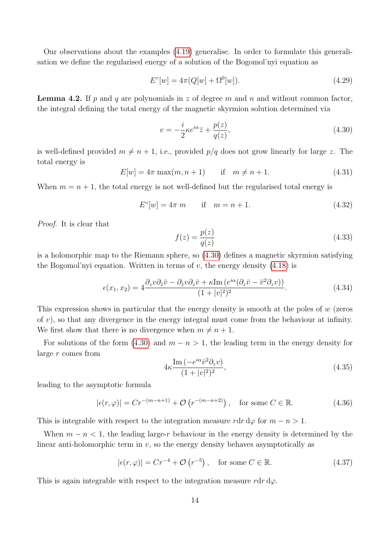Our observations about the examples [\(4.19\)](#page-11-0) generalise. In order to formulate this generalisation we define the regularised energy of a solution of the Bogomol'nyi equation as

$$
E^{\circ}[w] = 4\pi (Q[w] + \Omega^{0}[w]).
$$
\n(4.29)

**Lemma 4.2.** If p and q are polynomials in z of degree m and n and without common factor, the integral defining the total energy of the magnetic skyrmion solution determined via

<span id="page-13-0"></span>
$$
v = -\frac{i}{2}\kappa e^{i\alpha}\bar{z} + \frac{p(z)}{q(z)},\tag{4.30}
$$

is well-defined provided  $m \neq n + 1$ , i.e., provided  $p/q$  does not grow linearly for large z. The total energy is

 $E[w] = 4\pi \max(m, n+1)$  if  $m \neq n+1$ . (4.31)

When  $m = n + 1$ , the total energy is not well-defined but the regularised total energy is

$$
E^{\circ}[w] = 4\pi \, m \qquad \text{if} \quad m = n + 1. \tag{4.32}
$$

Proof. It is clear that

<span id="page-13-1"></span>
$$
f(z) = \frac{p(z)}{q(z)}\tag{4.33}
$$

is a holomorphic map to the Riemann sphere, so [\(4.30\)](#page-13-0) defines a magnetic skyrmion satisfying the Bogomol'nyi equation. Written in terms of  $v$ , the energy density [\(4.18\)](#page-10-3) is

<span id="page-13-2"></span>
$$
\epsilon(x_1, x_2) = 4 \frac{\partial_z v \partial_{\bar{z}} \bar{v} - \partial_{\bar{z}} v \partial_z \bar{v} + \kappa \text{Im} \left( e^{i\alpha} (\partial_z \bar{v} - \bar{v}^2 \partial_z v) \right)}{(1 + |v|^2)^2}.
$$
\n(4.34)

This expression shows in particular that the energy density is smooth at the poles of  $w$  (zeros of  $v$ ), so that any divergence in the energy integral must come from the behaviour at infinity. We first show that there is no divergence when  $m \neq n + 1$ .

For solutions of the form [\(4.30\)](#page-13-0) and  $m - n > 1$ , the leading term in the energy density for large r comes from

$$
4\kappa \frac{\operatorname{Im}\left(-e^{i\alpha}\bar{v}^2 \partial_z v\right)}{(1+|v|^2)^2},\tag{4.35}
$$

leading to the asymptotic formula

$$
|\epsilon(r,\varphi)| = Cr^{-(m-n+1)} + \mathcal{O}\left(r^{-(m-n+2)}\right), \quad \text{for some } C \in \mathbb{R}.\tag{4.36}
$$

This is integrable with respect to the integration measure  $r dr d\varphi$  for  $m - n > 1$ .

When  $m - n < 1$ , the leading large-r behaviour in the energy density is determined by the linear anti-holomorphic term in  $v$ , so the energy density behaves asymptotically as

$$
|\epsilon(r,\varphi)| = Cr^{-4} + \mathcal{O}(r^{-5}), \quad \text{for some } C \in \mathbb{R}.\tag{4.37}
$$

This is again integrable with respect to the integration measure  $r dr d\varphi$ .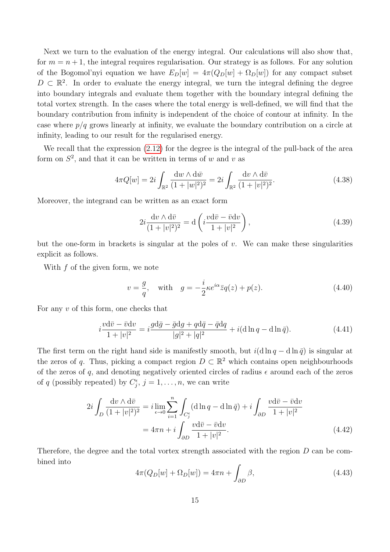Next we turn to the evaluation of the energy integral. Our calculations will also show that, for  $m = n + 1$ , the integral requires regularisation. Our strategy is as follows. For any solution of the Bogomol'nyi equation we have  $E_D[w] = 4\pi (Q_D[w] + \Omega_D[w])$  for any compact subset  $D \subset \mathbb{R}^2$ . In order to evaluate the energy integral, we turn the integral defining the degree into boundary integrals and evaluate them together with the boundary integral defining the total vortex strength. In the cases where the total energy is well-defined, we will find that the boundary contribution from infinity is independent of the choice of contour at infinity. In the case where  $p/q$  grows linearly at infinity, we evaluate the boundary contribution on a circle at infinity, leading to our result for the regularised energy.

We recall that the expression  $(2.12)$  for the degree is the integral of the pull-back of the area form on  $S^2$ , and that it can be written in terms of w and v as

$$
4\pi Q[w] = 2i \int_{\mathbb{R}^2} \frac{\mathrm{d}w \wedge \mathrm{d}\bar{w}}{(1+|w|^2)^2} = 2i \int_{\mathbb{R}^2} \frac{\mathrm{d}v \wedge \mathrm{d}\bar{v}}{(1+|v|^2)^2}.
$$
 (4.38)

Moreover, the integrand can be written as an exact form

<span id="page-14-0"></span>
$$
2i\frac{\mathrm{d}v\wedge\mathrm{d}\bar{v}}{(1+|v|^2)^2} = \mathrm{d}\left(i\frac{v\mathrm{d}\bar{v}-\bar{v}\mathrm{d}v}{1+|v|^2}\right),\tag{4.39}
$$

but the one-form in brackets is singular at the poles of  $v$ . We can make these singularities explicit as follows.

With  $f$  of the given form, we note

$$
v = \frac{g}{q}, \quad \text{with} \quad g = -\frac{i}{2}\kappa e^{i\alpha}\bar{z}q(z) + p(z). \tag{4.40}
$$

For any  $v$  of this form, one checks that

$$
i\frac{v\mathrm{d}\bar{v} - \bar{v}\mathrm{d}v}{1+|v|^2} = i\frac{g\mathrm{d}\bar{g} - \bar{g}\mathrm{d}g + q\mathrm{d}\bar{q} - \bar{q}\mathrm{d}q}{|g|^2 + |q|^2} + i(\mathrm{d}\ln q - \mathrm{d}\ln \bar{q}).\tag{4.41}
$$

The first term on the right hand side is manifestly smooth, but  $i(\text{d}\ln q - \text{d}\ln \bar{q})$  is singular at the zeros of q. Thus, picking a compact region  $D \subset \mathbb{R}^2$  which contains open neighbourhoods of the zeros of q, and denoting negatively oriented circles of radius  $\epsilon$  around each of the zeros of q (possibly repeated) by  $C_j^{\epsilon}$ ,  $j = 1, \ldots, n$ , we can write

$$
2i \int_D \frac{\mathrm{d}v \wedge \mathrm{d}\bar{v}}{(1+|v|^2)^2} = i \lim_{\epsilon \to 0} \sum_{i=1}^n \int_{C_j^{\epsilon}} (\mathrm{d}\ln q - \mathrm{d}\ln \bar{q}) + i \int_{\partial D} \frac{v \mathrm{d}\bar{v} - \bar{v} \mathrm{d}v}{1+|v|^2}
$$

$$
= 4\pi n + i \int_{\partial D} \frac{v \mathrm{d}\bar{v} - \bar{v} \mathrm{d}v}{1+|v|^2}.
$$
(4.42)

Therefore, the degree and the total vortex strength associated with the region D can be combined into

<span id="page-14-1"></span>
$$
4\pi(Q_D[w] + \Omega_D[w]) = 4\pi n + \int_{\partial D} \beta,
$$
\n(4.43)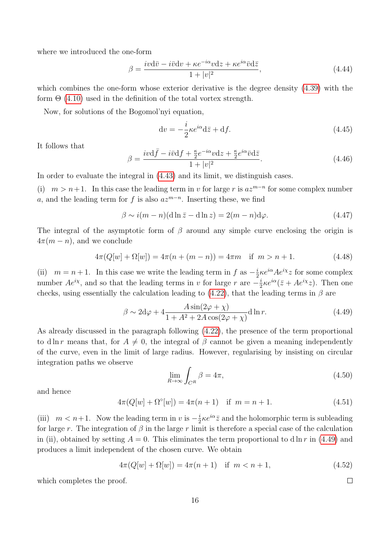where we introduced the one-form

$$
\beta = \frac{iv\mathrm{d}\bar{v} - i\bar{v}\mathrm{d}v + \kappa e^{-i\alpha}v\mathrm{d}z + \kappa e^{i\alpha}\bar{v}\mathrm{d}\bar{z}}{1 + |v|^2},\tag{4.44}
$$

which combines the one-form whose exterior derivative is the degree density [\(4.39\)](#page-14-0) with the form  $\Theta$  [\(4.10\)](#page-9-4) used in the definition of the total vortex strength.

Now, for solutions of the Bogomol'nyi equation,

$$
dv = -\frac{i}{2}\kappa e^{i\alpha}d\bar{z} + df.
$$
\n(4.45)

It follows that

$$
\beta = \frac{i v \mathrm{d} \bar{f} - i \bar{v} \mathrm{d} f + \frac{\kappa}{2} e^{-i \alpha} v \mathrm{d} z + \frac{\kappa}{2} e^{i \alpha} \bar{v} \mathrm{d} \bar{z}}{1 + |v|^2}.
$$
\n(4.46)

In order to evaluate the integral in [\(4.43\)](#page-14-1) and its limit, we distinguish cases.

(i)  $m > n+1$ . In this case the leading term in v for large r is  $az^{m-n}$  for some complex number a, and the leading term for f is also  $az^{m-n}$ . Inserting these, we find

$$
\beta \sim i(m - n)(\mathrm{d}\ln \bar{z} - \mathrm{d}\ln z) = 2(m - n)\mathrm{d}\varphi. \tag{4.47}
$$

The integral of the asymptotic form of  $\beta$  around any simple curve enclosing the origin is  $4\pi(m - n)$ , and we conclude

$$
4\pi(Q[w] + \Omega[w]) = 4\pi(n + (m - n)) = 4\pi m \quad \text{if } m > n + 1. \tag{4.48}
$$

(ii)  $m = n + 1$ . In this case we write the leading term in f as  $-\frac{i}{2}$  $\frac{i}{2}\kappa e^{i\alpha}Ae^{i\chi}z$  for some complex number  $Ae^{ix}$ , and so that the leading terms in v for large r are  $-\frac{i}{5}$  $\frac{i}{2}\kappa e^{i\alpha}(\bar{z} + Ae^{i\chi}z)$ . Then one checks, using essentially the calculation leading to [\(4.22\)](#page-11-1), that the leading terms in  $\beta$  are

<span id="page-15-0"></span>
$$
\beta \sim 2d\varphi + 4\frac{A\sin(2\varphi + \chi)}{1 + A^2 + 2A\cos(2\varphi + \chi)} d\ln r.
$$
\n(4.49)

As already discussed in the paragraph following [\(4.22\)](#page-11-1), the presence of the term proportional to d ln r means that, for  $A \neq 0$ , the integral of  $\beta$  cannot be given a meaning independently of the curve, even in the limit of large radius. However, regularising by insisting on circular integration paths we observe

$$
\lim_{R \to \infty} \int_{C^R} \beta = 4\pi,\tag{4.50}
$$

and hence

$$
4\pi(Q[w] + \Omega^{\circ}[w]) = 4\pi(n+1) \quad \text{if } m = n+1. \tag{4.51}
$$

(iii)  $m < n+1$ . Now the leading term in v is  $-\frac{i}{2}$  $\frac{i}{2} \kappa e^{i\alpha} \bar{z}$  and the holomorphic term is subleading for large r. The integration of  $\beta$  in the large r limit is therefore a special case of the calculation in (ii), obtained by setting  $A = 0$ . This eliminates the term proportional to d ln r in [\(4.49\)](#page-15-0) and produces a limit independent of the chosen curve. We obtain

$$
4\pi(Q[w] + \Omega[w]) = 4\pi(n+1) \quad \text{if } m < n+1,\tag{4.52}
$$

which completes the proof.

 $\Box$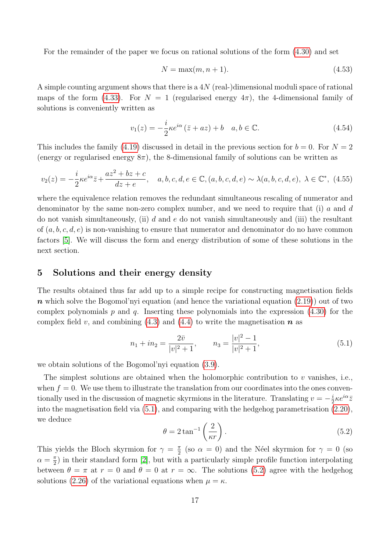For the remainder of the paper we focus on rational solutions of the form [\(4.30\)](#page-13-0) and set

<span id="page-16-2"></span>
$$
N = \max(m, n+1). \tag{4.53}
$$

A simple counting argument shows that there is a 4N (real-)dimensional moduli space of rational maps of the form [\(4.33\)](#page-13-1). For  $N = 1$  (regularised energy  $4\pi$ ), the 4-dimensional family of solutions is conveniently written as

<span id="page-16-3"></span>
$$
v_1(z) = -\frac{i}{2}\kappa e^{i\alpha} (\bar{z} + az) + b \quad a, b \in \mathbb{C}.
$$
 (4.54)

This includes the family [\(4.19\)](#page-11-0) discussed in detail in the previous section for  $b = 0$ . For  $N = 2$ (energy or regularised energy  $8\pi$ ), the 8-dimensional family of solutions can be written as

<span id="page-16-4"></span>
$$
v_2(z) = -\frac{i}{2}\kappa e^{i\alpha}\bar{z} + \frac{az^2 + bz + c}{dz + e}, \quad a, b, c, d, e \in \mathbb{C}, (a, b, c, d, e) \sim \lambda(a, b, c, d, e), \ \lambda \in \mathbb{C}^*, \ (4.55)
$$

where the equivalence relation removes the redundant simultaneous rescaling of numerator and denominator by the same non-zero complex number, and we need to require that (i) a and  $d$ do not vanish simultaneously, (ii) d and e do not vanish simultaneously and (iii) the resultant of  $(a, b, c, d, e)$  is non-vanishing to ensure that numerator and denominator do no have common factors [\[5\]](#page-21-3). We will discuss the form and energy distribution of some of these solutions in the next section.

# 5 Solutions and their energy density

The results obtained thus far add up to a simple recipe for constructing magnetisation fields  $n$  which solve the Bogomol'nyi equation (and hence the variational equation  $(2.19)$ ) out of two complex polynomials p and q. Inserting these polynomials into the expression  $(4.30)$  for the complex field v, and combining [\(4.3\)](#page-9-0) and [\(4.4\)](#page-9-5) to write the magnetisation  $\boldsymbol{n}$  as

<span id="page-16-1"></span>
$$
n_1 + in_2 = \frac{2\bar{v}}{|v|^2 + 1}, \qquad n_3 = \frac{|v|^2 - 1}{|v|^2 + 1}, \tag{5.1}
$$

we obtain solutions of the Bogomol'nyi equation [\(3.9\)](#page-7-3).

The simplest solutions are obtained when the holomorphic contribution to  $v$  vanishes, i.e., when  $f = 0$ . We use them to illustrate the translation from our coordinates into the ones conventionally used in the discussion of magnetic skyrmions in the literature. Translating  $v = -\frac{i}{2}$  $\frac{i}{2} \kappa e^{i\alpha} \bar{z}$ into the magnetisation field via [\(5.1\)](#page-16-1), and comparing with the hedgehog parametrisation [\(2.20\)](#page-5-4), we deduce

<span id="page-16-0"></span>
$$
\theta = 2 \tan^{-1} \left( \frac{2}{\kappa r} \right). \tag{5.2}
$$

This yields the Bloch skyrmion for  $\gamma = \frac{\pi}{2}$  $\frac{\pi}{2}$  (so  $\alpha = 0$ ) and the Néel skyrmion for  $\gamma = 0$  (so  $\alpha = \frac{\pi}{2}$  $\frac{\pi}{2}$  in their standard form [\[2\]](#page-21-0), but with a particularly simple profile function interpolating between  $\theta = \pi$  at  $r = 0$  and  $\theta = 0$  at  $r = \infty$ . The solutions [\(5.2\)](#page-16-0) agree with the hedgehog solutions [\(2.26\)](#page-6-1) of the variational equations when  $\mu = \kappa$ .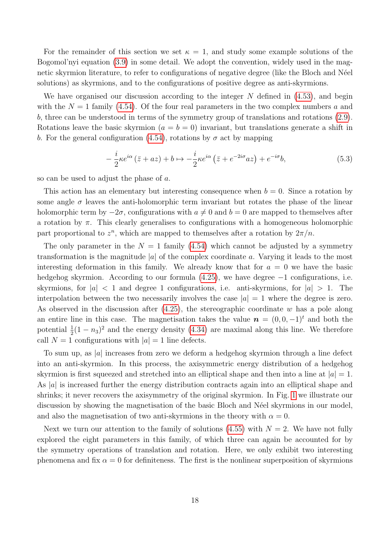For the remainder of this section we set  $\kappa = 1$ , and study some example solutions of the Bogomol'nyi equation [\(3.9\)](#page-7-3) in some detail. We adopt the convention, widely used in the magnetic skyrmion literature, to refer to configurations of negative degree (like the Bloch and Néel solutions) as skyrmions, and to the configurations of positive degree as anti-skyrmions.

We have organised our discussion according to the integer  $N$  defined in  $(4.53)$ , and begin with the  $N = 1$  family [\(4.54\)](#page-16-3). Of the four real parameters in the two complex numbers a and b, three can be understood in terms of the symmetry group of translations and rotations [\(2.9\)](#page-3-0). Rotations leave the basic skyrmion  $(a = b = 0)$  invariant, but translations generate a shift in b. For the general configuration [\(4.54\)](#page-16-3), rotations by  $\sigma$  act by mapping

$$
-\frac{i}{2}\kappa e^{i\alpha}(\bar{z}+az)+b\mapsto -\frac{i}{2}\kappa e^{i\alpha}(\bar{z}+e^{-2i\sigma}az)+e^{-i\sigma}b,\tag{5.3}
$$

so can be used to adjust the phase of a.

This action has an elementary but interesting consequence when  $b = 0$ . Since a rotation by some angle  $\sigma$  leaves the anti-holomorphic term invariant but rotates the phase of the linear holomorphic term by  $-2\sigma$ , configurations with  $a \neq 0$  and  $b = 0$  are mapped to themselves after a rotation by  $\pi$ . This clearly generalises to configurations with a homogeneous holomorphic part proportional to  $z^n$ , which are mapped to themselves after a rotation by  $2\pi/n$ .

The only parameter in the  $N = 1$  family [\(4.54\)](#page-16-3) which cannot be adjusted by a symmetry transformation is the magnitude  $|a|$  of the complex coordinate a. Varying it leads to the most interesting deformation in this family. We already know that for  $a = 0$  we have the basic hedgehog skyrmion. According to our formula [\(4.25\)](#page-12-1), we have degree −1 configurations, i.e. skyrmions, for  $|a| < 1$  and degree 1 configurations, i.e. anti-skyrmions, for  $|a| > 1$ . The interpolation between the two necessarily involves the case  $|a|=1$  where the degree is zero. As observed in the discussion after  $(4.25)$ , the stereographic coordinate w has a pole along an entire line in this case. The magnetisation takes the value  $\mathbf{n} = (0, 0, -1)^t$  and both the potential  $\frac{1}{2}(1-n_3)^2$  and the energy density [\(4.34\)](#page-13-2) are maximal along this line. We therefore call  $N = 1$  configurations with  $|a| = 1$  line defects.

To sum up, as |a| increases from zero we deform a hedgehog skyrmion through a line defect into an anti-skyrmion. In this process, the axisymmetric energy distribution of a hedgehog skyrmion is first squeezed and stretched into an elliptical shape and then into a line at  $|a| = 1$ . As  $|a|$  is increased further the energy distribution contracts again into an elliptical shape and shrinks; it never recovers the axisymmetry of the original skyrmion. In Fig. [1](#page-18-0) we illustrate our discussion by showing the magnetisation of the basic Bloch and Néel skyrmions in our model, and also the magnetisation of two anti-skyrmions in the theory with  $\alpha = 0$ .

Next we turn our attention to the family of solutions [\(4.55\)](#page-16-4) with  $N = 2$ . We have not fully explored the eight parameters in this family, of which three can again be accounted for by the symmetry operations of translation and rotation. Here, we only exhibit two interesting phenomena and fix  $\alpha = 0$  for definiteness. The first is the nonlinear superposition of skyrmions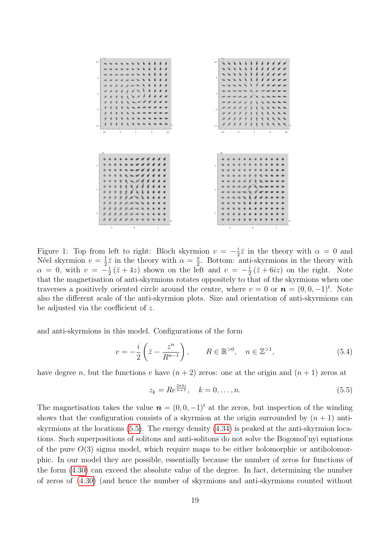<span id="page-18-0"></span>

Figure 1: Top from left to right: Bloch skyrmion  $v = -\frac{i}{2}$  $\frac{i}{2}\overline{z}$  in the theory with  $\alpha = 0$  and Néel skyrmion  $v = \frac{1}{2}$  $\frac{1}{2}\bar{z}$  in the theory with  $\alpha = \frac{\pi}{2}$  $\frac{\pi}{2}$ . Bottom: anti-skyrmions in the theory with  $\alpha = 0$ , with  $v = -\frac{i}{2}$  $\frac{i}{2}(\bar{z}+4z)$  shown on the left and  $v=-\frac{i}{2}$  $\frac{i}{2}(\bar{z}+6i\bar{z})$  on the right. Note that the magnetisation of anti-skyrmions rotates oppositely to that of the skyrmions when one traverses a positively oriented circle around the centre, where  $v = 0$  or  $\mathbf{n} = (0, 0, -1)^t$ . Note also the different scale of the anti-skyrmion plots. Size and orientation of anti-skyrmions can be adjusted via the coefficient of z.

and anti-skyrmions in this model. Configurations of the form

$$
v = -\frac{i}{2} \left( \bar{z} - \frac{z^n}{R^{n-1}} \right), \qquad R \in \mathbb{R}^{>0}, \quad n \in \mathbb{Z}^{>1}, \tag{5.4}
$$

have degree n, but the functions v have  $(n+2)$  zeros: one at the origin and  $(n+1)$  zeros at

<span id="page-18-1"></span>
$$
z_k = Re^{\frac{2\pi ki}{n+1}}, \quad k = 0, \dots, n.
$$
 (5.5)

The magnetisation takes the value  $\mathbf{n} = (0, 0, -1)^t$  at the zeros, but inspection of the winding shows that the configuration consists of a skyrmion at the origin surrounded by  $(n + 1)$  antiskyrmions at the locations [\(5.5\)](#page-18-1). The energy density [\(4.34\)](#page-13-2) is peaked at the anti-skyrmion locations. Such superpositions of solitons and anti-solitons do not solve the Bogomol'nyi equations of the pure  $O(3)$  sigma model, which require maps to be either holomorphic or antiholomorphic. In our model they are possible, essentially because the number of zeros for functions of the form [\(4.30\)](#page-13-0) can exceed the absolute value of the degree. In fact, determining the number of zeros of [\(4.30\)](#page-13-0) (and hence the number of skyrmions and anti-skyrmions counted without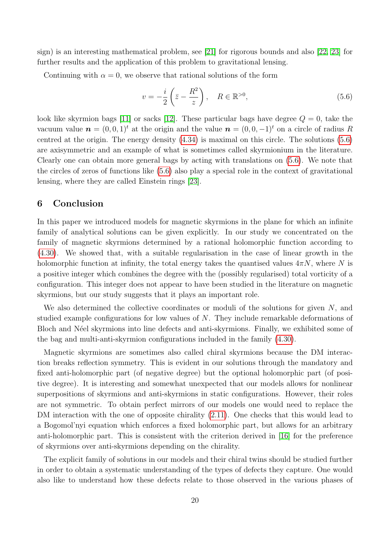sign) is an interesting mathematical problem, see [\[21\]](#page-22-5) for rigorous bounds and also [\[22,](#page-22-6) [23\]](#page-22-7) for further results and the application of this problem to gravitational lensing.

Continuing with  $\alpha = 0$ , we observe that rational solutions of the form

<span id="page-19-0"></span>
$$
v = -\frac{i}{2} \left( \bar{z} - \frac{R^2}{z} \right), \quad R \in \mathbb{R}^{>0},\tag{5.6}
$$

look like skyrmion bags [\[11\]](#page-21-9) or sacks [\[12\]](#page-21-10). These particular bags have degree  $Q = 0$ , take the vacuum value  $\mathbf{n} = (0, 0, 1)^t$  at the origin and the value  $\mathbf{n} = (0, 0, -1)^t$  on a circle of radius R centred at the origin. The energy density [\(4.34\)](#page-13-2) is maximal on this circle. The solutions [\(5.6\)](#page-19-0) are axisymmetric and an example of what is sometimes called skyrmionium in the literature. Clearly one can obtain more general bags by acting with translations on [\(5.6\)](#page-19-0). We note that the circles of zeros of functions like [\(5.6\)](#page-19-0) also play a special role in the context of gravitational lensing, where they are called Einstein rings [\[23\]](#page-22-7).

### 6 Conclusion

In this paper we introduced models for magnetic skyrmions in the plane for which an infinite family of analytical solutions can be given explicitly. In our study we concentrated on the family of magnetic skyrmions determined by a rational holomorphic function according to [\(4.30\)](#page-13-0). We showed that, with a suitable regularisation in the case of linear growth in the holomorphic function at infinity, the total energy takes the quantised values  $4\pi N$ , where N is a positive integer which combines the degree with the (possibly regularised) total vorticity of a configuration. This integer does not appear to have been studied in the literature on magnetic skyrmions, but our study suggests that it plays an important role.

We also determined the collective coordinates or moduli of the solutions for given  $N$ , and studied example configurations for low values of N. They include remarkable deformations of Bloch and Néel skyrmions into line defects and anti-skyrmions. Finally, we exhibited some of the bag and multi-anti-skyrmion configurations included in the family [\(4.30\)](#page-13-0).

Magnetic skyrmions are sometimes also called chiral skyrmions because the DM interaction breaks reflection symmetry. This is evident in our solutions through the mandatory and fixed anti-holomorphic part (of negative degree) but the optional holomorphic part (of positive degree). It is interesting and somewhat unexpected that our models allows for nonlinear superpositions of skyrmions and anti-skyrmions in static configurations. However, their roles are not symmetric. To obtain perfect mirrors of our models one would need to replace the DM interaction with the one of opposite chirality  $(2.11)$ . One checks that this would lead to a Bogomol'nyi equation which enforces a fixed holomorphic part, but allows for an arbitrary anti-holomorphic part. This is consistent with the criterion derived in [\[16\]](#page-22-0) for the preference of skyrmions over anti-skyrmions depending on the chirality.

The explicit family of solutions in our models and their chiral twins should be studied further in order to obtain a systematic understanding of the types of defects they capture. One would also like to understand how these defects relate to those observed in the various phases of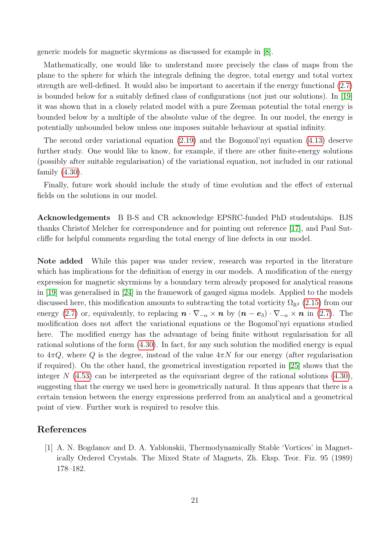generic models for magnetic skyrmions as discussed for example in [\[8\]](#page-21-6).

Mathematically, one would like to understand more precisely the class of maps from the plane to the sphere for which the integrals defining the degree, total energy and total vortex strength are well-defined. It would also be important to ascertain if the energy functional [\(2.7\)](#page-2-0) is bounded below for a suitably defined class of configurations (not just our solutions). In [\[19\]](#page-22-3) it was shown that in a closely related model with a pure Zeeman potential the total energy is bounded below by a multiple of the absolute value of the degree. In our model, the energy is potentially unbounded below unless one imposes suitable behaviour at spatial infinity.

The second order variational equation [\(2.19\)](#page-5-1) and the Bogomol'nyi equation [\(4.13\)](#page-10-1) deserve further study. One would like to know, for example, if there are other finite-energy solutions (possibly after suitable regularisation) of the variational equation, not included in our rational family [\(4.30\)](#page-13-0).

Finally, future work should include the study of time evolution and the effect of external fields on the solutions in our model.

Acknowledgements B B-S and CR acknowledge EPSRC-funded PhD studentships. BJS thanks Christof Melcher for correspondence and for pointing out reference [\[17\]](#page-22-1), and Paul Sutcliffe for helpful comments regarding the total energy of line defects in our model.

Note added While this paper was under review, research was reported in the literature which has implications for the definition of energy in our models. A modification of the energy expression for magnetic skyrmions by a boundary term already proposed for analytical reasons in [\[19\]](#page-22-3) was generalised in [\[24\]](#page-22-8) in the framework of gauged sigma models. Applied to the models discussed here, this modification amounts to subtracting the total vorticity  $\Omega_{\mathbb{R}^2}$  [\(2.15\)](#page-4-2) from our energy [\(2.7\)](#page-2-0) or, equivalently, to replacing  $\mathbf{n} \cdot \nabla_{-\alpha} \times \mathbf{n}$  by  $(\mathbf{n} - \mathbf{e}_3) \cdot \nabla_{-\alpha} \times \mathbf{n}$  in (2.7). The modification does not affect the variational equations or the Bogomol'nyi equations studied here. The modified energy has the advantage of being finite without regularisation for all rational solutions of the form [\(4.30\)](#page-13-0). In fact, for any such solution the modified energy is equal to  $4\pi Q$ , where Q is the degree, instead of the value  $4\pi N$  for our energy (after regularisation if required). On the other hand, the geometrical investigation reported in [\[25\]](#page-22-9) shows that the integer N  $(4.53)$  can be interpreted as the equivariant degree of the rational solutions  $(4.30)$ , suggesting that the energy we used here is geometrically natural. It thus appears that there is a certain tension between the energy expressions preferred from an analytical and a geometrical point of view. Further work is required to resolve this.

# <span id="page-20-0"></span>References

[1] A. N. Bogdanov and D. A. Yablonskii, Thermodynamically Stable 'Vortices' in Magnetically Ordered Crystals. The Mixed State of Magnets, Zh. Eksp. Teor. Fiz. 95 (1989) 178–182.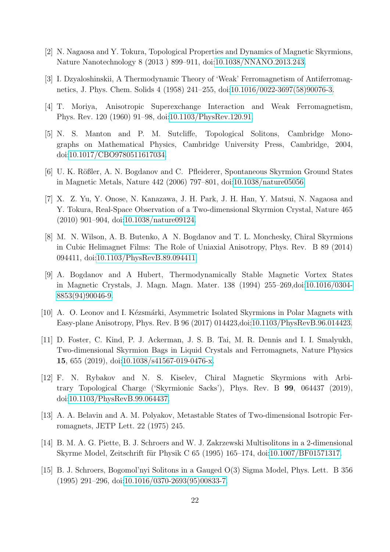- <span id="page-21-0"></span>[2] N. Nagaosa and Y. Tokura, Topological Properties and Dynamics of Magnetic Skyrmions, Nature Nanotechnology 8 (2013 ) 899–911, doi[:10.1038/NNANO.2013.243.](http://dx.doi.org/10.1038/NNANO.2013.243)
- <span id="page-21-1"></span>[3] I. Dzyaloshinskii, A Thermodynamic Theory of 'Weak' Ferromagnetism of Antiferromagnetics, J. Phys. Chem. Solids 4 (1958) 241–255, doi[:10.1016/0022-3697\(58\)90076-3.](http://dx.doi.org/10.1016/0022-3697(58)90076-3)
- <span id="page-21-2"></span>[4] T. Moriya, Anisotropic Superexchange Interaction and Weak Ferromagnetism, Phys. Rev. 120 (1960) 91–98, doi[:10.1103/PhysRev.120.91.](http://dx.doi.org/10.1103/PhysRev.120.91)
- <span id="page-21-3"></span>[5] N. S. Manton and P. M. Sutcliffe, Topological Solitons, Cambridge Monographs on Mathematical Physics, Cambridge University Press, Cambridge, 2004, doi[:10.1017/CBO9780511617034.](http://dx.doi.org/10.1017/CBO9780511617034)
- <span id="page-21-4"></span>[6] U. K. Rößler, A. N. Bogdanov and C. Pfleiderer, Spontaneous Skyrmion Ground States in Magnetic Metals, Nature 442 (2006) 797–801, doi[:10.1038/nature05056.](http://dx.doi.org/10.1038/nature05056)
- <span id="page-21-5"></span>[7] X. Z. Yu, Y. Onose, N. Kanazawa, J. H. Park, J. H. Han, Y. Matsui, N. Nagaosa and Y. Tokura, Real-Space Observation of a Two-dimensional Skyrmion Crystal, Nature 465 (2010) 901–904, doi[:10.1038/nature09124.](http://dx.doi.org/10.1038/nature09124)
- <span id="page-21-6"></span>[8] M. N. Wilson, A. B. Butenko, A N. Bogdanov and T. L. Monchesky, Chiral Skyrmions in Cubic Helimagnet Films: The Role of Uniaxial Anisotropy, Phys. Rev. B 89 (2014) 094411, doi[:10.1103/PhysRevB.89.094411.](http://dx.doi.org/10.1103/PhysRevB.89.094411)
- <span id="page-21-7"></span>[9] A. Bogdanov and A Hubert, Thermodynamically Stable Magnetic Vortex States in Magnetic Crystals, J. Magn. Magn. Mater. 138 (1994) 255–269,doi[:10.1016/0304-](http://dx.doi.org/10.1016/0304-8853(94)90046-9) [8853\(94\)90046-9.](http://dx.doi.org/10.1016/0304-8853(94)90046-9)
- <span id="page-21-8"></span>[10] A. O. Leonov and I. Kézsmárki, Asymmetric Isolated Skyrmions in Polar Magnets with Easy-plane Anisotropy, Phys. Rev. B 96 (2017) 014423,doi[:10.1103/PhysRevB.96.014423.](http://dx.doi.org/10.1103/PhysRevB.96.014423)
- <span id="page-21-9"></span>[11] D. Foster, C. Kind, P. J. Ackerman, J. S. B. Tai, M. R. Dennis and I. I. Smalyukh, Two-dimensional Skyrmion Bags in Liquid Crystals and Ferromagnets, Nature Physics 15, 655 (2019), doi[:10.1038/s41567-019-0476-x.](http://dx.doi.org/10.1038/s41567-019-0476-x)
- <span id="page-21-10"></span>[12] F. N. Rybakov and N. S. Kiselev, Chiral Magnetic Skyrmions with Arbitrary Topological Charge ('Skyrmionic Sacks'), Phys. Rev. B 99, 064437 (2019), doi[:10.1103/PhysRevB.99.064437.](http://dx.doi.org/10.1103/PhysRevB.99.064437)
- <span id="page-21-11"></span>[13] A. A. Belavin and A. M. Polyakov, Metastable States of Two-dimensional Isotropic Ferromagnets, JETP Lett. 22 (1975) 245.
- <span id="page-21-12"></span>[14] B. M. A. G. Piette, B. J. Schroers and W. J. Zakrzewski Multisolitons in a 2-dimensional Skyrme Model, Zeitschrift für Physik C  $65$  (1995) 165–174, doi[:10.1007/BF01571317.](http://dx.doi.org/10.1007/BF01571317)
- <span id="page-21-13"></span>[15] B. J. Schroers, Bogomol'nyi Solitons in a Gauged O(3) Sigma Model, Phys. Lett. B 356 (1995) 291–296, doi[:10.1016/0370-2693\(95\)00833-7.](http://dx.doi.org/10.1016/0370-2693(95)00833-7)